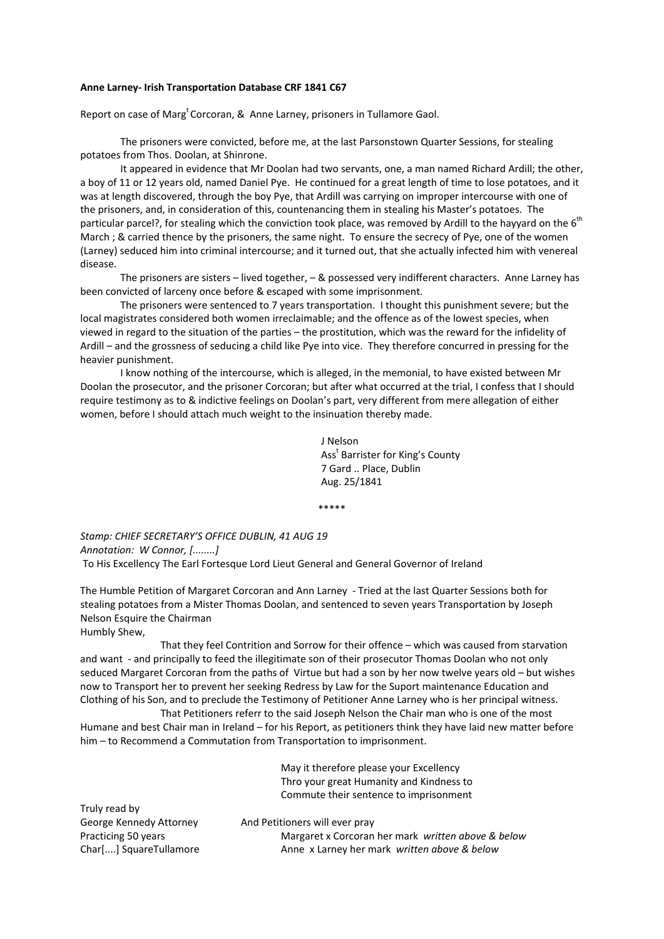## **Anne Larney‐ Irish Transportation Database CRF 1841 C67**

Report on case of Marg<sup>t</sup> Corcoran, & Anne Larney, prisoners in Tullamore Gaol.

The prisoners were convicted, before me, at the last Parsonstown Quarter Sessions, for stealing potatoes from Thos. Doolan, at Shinrone.

It appeared in evidence that Mr Doolan had two servants, one, a man named Richard Ardill; the other, a boy of 11 or 12 years old, named Daniel Pye. He continued for a great length of time to lose potatoes, and it was at length discovered, through the boy Pye, that Ardill was carrying on improper intercourse with one of the prisoners, and, in consideration of this, countenancing them in stealing his Master's potatoes. The particular parcel?, for stealing which the conviction took place, was removed by Ardill to the hayyard on the  $6<sup>th</sup>$ March ; & carried thence by the prisoners, the same night. To ensure the secrecy of Pye, one of the women (Larney) seduced him into criminal intercourse; and it turned out, that she actually infected him with venereal disease.

The prisoners are sisters – lived together, – & possessed very indifferent characters. Anne Larney has been convicted of larceny once before & escaped with some imprisonment.

The prisoners were sentenced to 7 years transportation. I thought this punishment severe; but the local magistrates considered both women irreclaimable; and the offence as of the lowest species, when viewed in regard to the situation of the parties – the prostitution, which was the reward for the infidelity of Ardill – and the grossness of seducing a child like Pye into vice. They therefore concurred in pressing for the heavier punishment.

I know nothing of the intercourse, which is alleged, in the memonial, to have existed between Mr Doolan the prosecutor, and the prisoner Corcoran; but after what occurred at the trial, I confess that I should require testimony as to & indictive feelings on Doolan's part, very different from mere allegation of either women, before I should attach much weight to the insinuation thereby made.

 J Nelson Ass<sup>t</sup> Barrister for King's County 7 Gard .. Place, Dublin Aug. 25/1841

\*\*\*\*\*

*Stamp: CHIEF SECRETARY'S OFFICE DUBLIN, 41 AUG 19 Annotation: W Connor, [........]* To His Excellency The Earl Fortesque Lord Lieut General and General Governor of Ireland

The Humble Petition of Margaret Corcoran and Ann Larney ‐ Tried at the last Quarter Sessions both for stealing potatoes from a Mister Thomas Doolan, and sentenced to seven years Transportation by Joseph Nelson Esquire the Chairman Humbly Shew,

 That they feel Contrition and Sorrow for their offence – which was caused from starvation and want - and principally to feed the illegitimate son of their prosecutor Thomas Doolan who not only seduced Margaret Corcoran from the paths of Virtue but had a son by her now twelve years old – but wishes now to Transport her to prevent her seeking Redress by Law for the Suport maintenance Education and Clothing of his Son, and to preclude the Testimony of Petitioner Anne Larney who is her principal witness.

 That Petitioners referr to the said Joseph Nelson the Chair man who is one of the most Humane and best Chair man in Ireland – for his Report, as petitioners think they have laid new matter before him – to Recommend a Commutation from Transportation to imprisonment.

> May it therefore please your Excellency Thro your great Humanity and Kindness to Commute their sentence to imprisonment

Truly read by George Kennedy Attorney **And Petitioners will ever pray** 

Practicing 50 years Margaret x Corcoran her mark *written above & below* Char[....] SquareTullamore Anne x Larney her mark *written above & below*